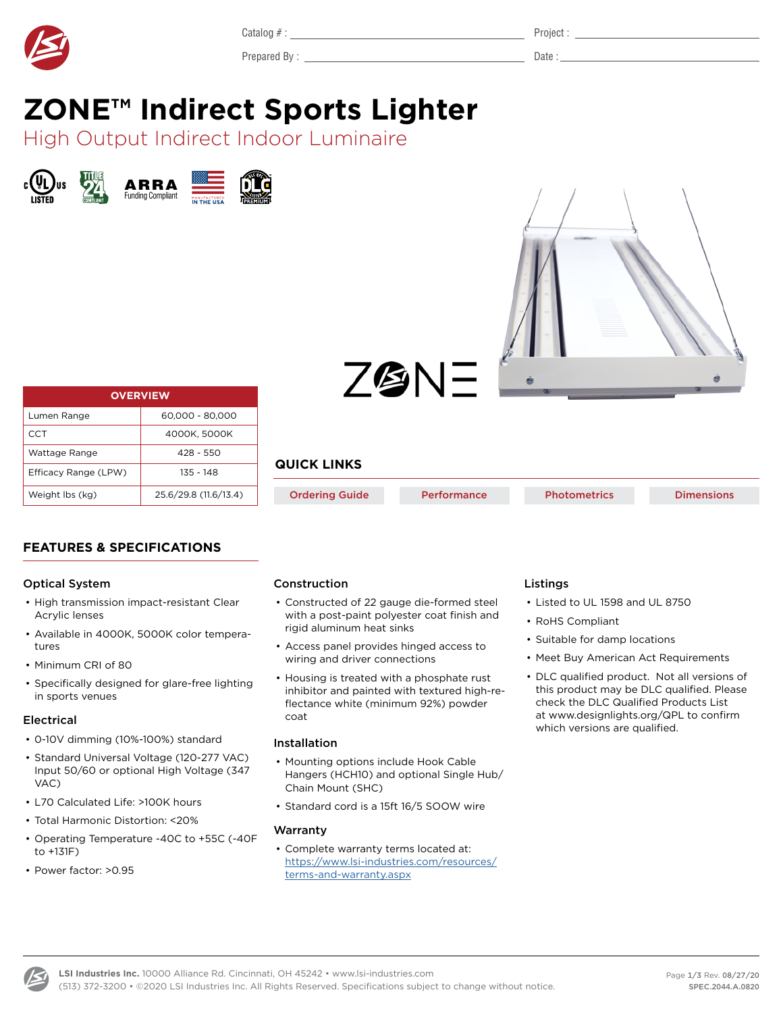<span id="page-0-0"></span>

Prepared By : Date : Let us a part of the state of the state of the Date : Let us a part of the state of the state of the state of the state of the state of the state of the state of the state of the state of the state of

# **ZONE™ Indirect Sports Lighter**

High Output Indirect Indoor Luminaire





| <b>OVERVIEW</b>      |                       |  |  |  |  |
|----------------------|-----------------------|--|--|--|--|
| Lumen Range          | 60.000 - 80.000       |  |  |  |  |
| CCT                  | 4000K, 5000K          |  |  |  |  |
| Wattage Range        | 428 - 550             |  |  |  |  |
| Efficacy Range (LPW) | 135 - 148             |  |  |  |  |
| Weight Ibs (kg)      | 25.6/29.8 (11.6/13.4) |  |  |  |  |

Z@NE

## **QUICK LINKS**

[Ordering Guide](#page-1-0) **[Performance](#page-1-1)** [Photometrics](#page-1-2) **[Dimensions](#page-2-0)** 

## **FEATURES & SPECIFICATIONS**

## Optical System

- High transmission impact-resistant Clear Acrylic lenses
- Available in 4000K, 5000K color temperatures
- Minimum CRI of 80
- Specifically designed for glare-free lighting in sports venues

## Electrical

- 0-10V dimming (10%-100%) standard
- Standard Universal Voltage (120-277 VAC) Input 50/60 or optional High Voltage (347 VAC)
- L70 Calculated Life: >100K hours
- Total Harmonic Distortion: <20%
- Operating Temperature -40C to +55C (-40F to +131F)
- Power factor: >0.95

## Construction

- Constructed of 22 gauge die-formed steel with a post-paint polyester coat finish and rigid aluminum heat sinks
- Access panel provides hinged access to wiring and driver connections
- Housing is treated with a phosphate rust inhibitor and painted with textured high-reflectance white (minimum 92%) powder coat

## Installation

- Mounting options include Hook Cable Hangers (HCH10) and optional Single Hub/ Chain Mount (SHC)
- Standard cord is a 15ft 16/5 SOOW wire

## **Warranty**

• Complete warranty terms located at: https://www.lsi-industries.com/resources/ terms-and-warranty.aspx

## Listings

- Listed to UL 1598 and UL 8750
- RoHS Compliant
- Suitable for damp locations
- Meet Buy American Act Requirements
- DLC qualified product. Not all versions of this product may be DLC qualified. Please check the DLC Qualified Products List at www.designlights.org/QPL to confirm which versions are qualified.

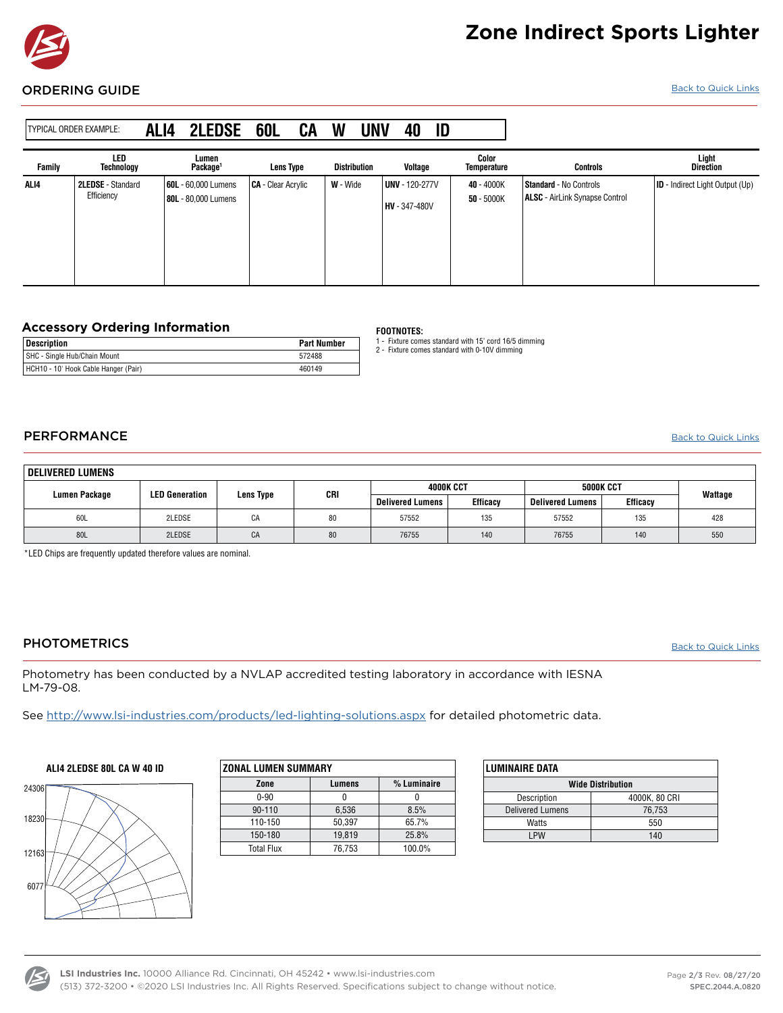

## **Zone Indirect Sports Lighter**

#### <span id="page-1-0"></span>**ORDERING GUIDE** [Back to Quick Links](#page-0-0)

| TYPICAL ORDER EXAMPLE: |                                        | ALI4 | <b>2LEDSE</b>                                     | <b>60L</b>                | CA | W        | <b>UNV</b>          | 40                                            | ID |                                    |                                                                        |                                        |
|------------------------|----------------------------------------|------|---------------------------------------------------|---------------------------|----|----------|---------------------|-----------------------------------------------|----|------------------------------------|------------------------------------------------------------------------|----------------------------------------|
| Family                 | LED<br>Technology                      |      | Lumen<br>Package <sup>1</sup>                     | <b>Lens Type</b>          |    |          | <b>Distribution</b> | Voltage                                       |    | <b>Color</b><br><b>Temperature</b> | <b>Controls</b>                                                        | Light<br>Direction                     |
| ALI4                   | <b>2LEDSE</b> - Standard<br>Efficiency |      | <b>60L</b> - 60.000 Lumens<br>80L - 80,000 Lumens | <b>CA</b> - Clear Acrylic |    | W - Wide |                     | <b>UNV</b> - 120-277V<br><b>HV</b> - 347-480V |    | 40 - 4000K<br>$50 - 5000K$         | <b>Standard</b> - No Controls<br><b>ALSC</b> - AirLink Synapse Control | <b>ID</b> - Indirect Light Output (Up) |

## **Accessory Ordering Information FOOTNOTES:**

| <b>Description</b>                   | <b>Part Number</b> | Fixture comes standard with 15' cord 16/5 dimming<br>Fixture comes standard with 0-10V dimming |  |  |  |
|--------------------------------------|--------------------|------------------------------------------------------------------------------------------------|--|--|--|
| SHC - Single Hub/Chain Mount         | 572488             |                                                                                                |  |  |  |
| HCH10 - 10' Hook Cable Hanger (Pair) | 460149             |                                                                                                |  |  |  |

- 
- 

## <span id="page-1-1"></span>PERFORMANCE

[Back to Quick Links](#page-0-0)

| DELIVERED LUMENS |                       |           |     |                         |                 |                         |                 |         |
|------------------|-----------------------|-----------|-----|-------------------------|-----------------|-------------------------|-----------------|---------|
| Lumen Package    | <b>LED Generation</b> | Lens Type | CRI | <b>4000K CCT</b>        |                 | <b>5000K CCT</b>        |                 | Wattage |
|                  |                       |           |     | <b>Delivered Lumens</b> | <b>Efficacy</b> | <b>Delivered Lumens</b> | <b>Efficacy</b> |         |
| 60L              | 2LEDSE                | CA        | 80  | 57552                   | 135             | 57552                   | 135             | 428     |
| 80L              | 2LEDSE                | CA        | 80  | 76755                   | 140             | 76755                   | 140             | 550     |

\*LED Chips are frequently updated therefore values are nominal.

## <span id="page-1-2"></span>**PHOTOMETRICS**

**[Back to Quick Links](#page-0-0)** 

Photometry has been conducted by a NVLAP accredited testing laboratory in accordance with IESNA LM-79-08.

See <http://www.lsi-industries.com/products/led-lighting-solutions.aspx> for detailed photometric data.

## **ALI4 2LEDSE 80L CA W 40 ID**



| <b>ZONAL LUMEN SUMMARY</b> |        |               |  |  |  |  |
|----------------------------|--------|---------------|--|--|--|--|
| Zone                       | Lumens | $%$ Luminaire |  |  |  |  |
| $0 - 90$                   |        |               |  |  |  |  |
| 90-110                     | 6,536  | 8.5%          |  |  |  |  |
| 110-150                    | 50.397 | 65.7%         |  |  |  |  |
| 150-180                    | 19.819 | 25.8%         |  |  |  |  |
| <b>Total Flux</b>          | 76,753 | 100.0%        |  |  |  |  |

| <b>LUMINAIRE DATA</b>    |               |  |  |  |  |
|--------------------------|---------------|--|--|--|--|
| <b>Wide Distribution</b> |               |  |  |  |  |
| Description              | 4000K, 80 CRI |  |  |  |  |
| <b>Delivered Lumens</b>  | 76,753        |  |  |  |  |
| Watts                    | 550           |  |  |  |  |
| I PW                     | 140           |  |  |  |  |